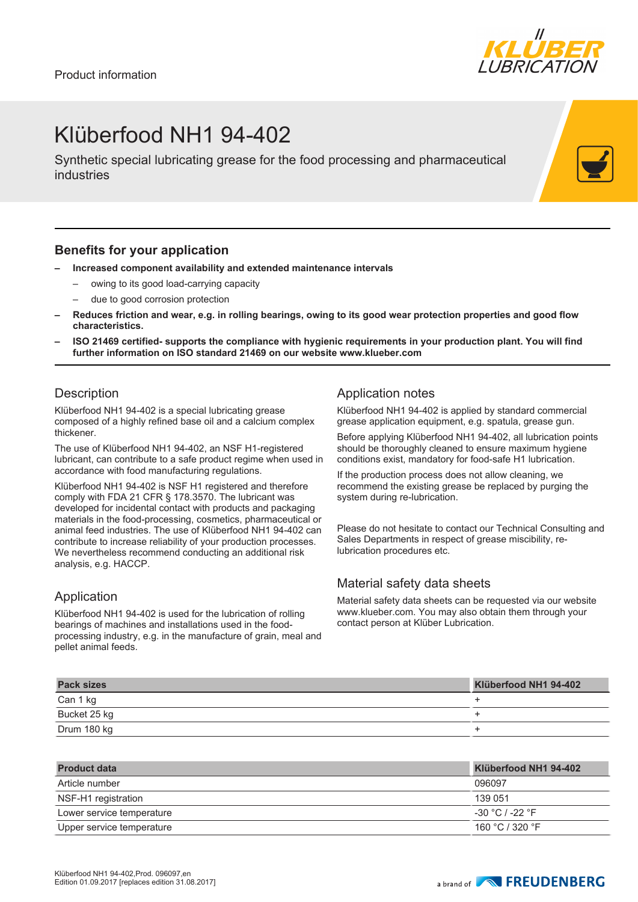

## Klüberfood NH1 94-402

Synthetic special lubricating grease for the food processing and pharmaceutical industries

#### **Benefits for your application**

- **– Increased component availability and extended maintenance intervals**
	- owing to its good load-carrying capacity
	- due to good corrosion protection
- **– Reduces friction and wear, e.g. in rolling bearings, owing to its good wear protection properties and good flow characteristics.**
- **– ISO 21469 certified- supports the compliance with hygienic requirements in your production plant. You will find further information on ISO standard 21469 on our website www.klueber.com**

### **Description**

Klüberfood NH1 94-402 is a special lubricating grease composed of a highly refined base oil and a calcium complex thickener.

The use of Klüberfood NH1 94-402, an NSF H1-registered lubricant, can contribute to a safe product regime when used in accordance with food manufacturing regulations.

Klüberfood NH1 94-402 is NSF H1 registered and therefore comply with FDA 21 CFR § 178.3570. The lubricant was developed for incidental contact with products and packaging materials in the food-processing, cosmetics, pharmaceutical or animal feed industries. The use of Klüberfood NH1 94-402 can contribute to increase reliability of your production processes. We nevertheless recommend conducting an additional risk analysis, e.g. HACCP.

### Application

Klüberfood NH1 94-402 is used for the lubrication of rolling bearings of machines and installations used in the foodprocessing industry, e.g. in the manufacture of grain, meal and pellet animal feeds.

#### Application notes

Klüberfood NH1 94-402 is applied by standard commercial grease application equipment, e.g. spatula, grease gun.

Before applying Klüberfood NH1 94-402, all lubrication points should be thoroughly cleaned to ensure maximum hygiene conditions exist, mandatory for food-safe H1 lubrication.

If the production process does not allow cleaning, we recommend the existing grease be replaced by purging the system during re-lubrication.

Please do not hesitate to contact our Technical Consulting and Sales Departments in respect of grease miscibility, relubrication procedures etc.

### Material safety data sheets

Material safety data sheets can be requested via our website www.klueber.com. You may also obtain them through your contact person at Klüber Lubrication.

| <b>Pack sizes</b> | Klüberfood NH1 94-402 |
|-------------------|-----------------------|
| Can 1 kg          |                       |
| Bucket 25 kg      |                       |
| Drum 180 kg       |                       |

| <b>Product data</b>       | Klüberfood NH1 94-402 |
|---------------------------|-----------------------|
| Article number            | 096097                |
| NSF-H1 registration       | 139 051               |
| Lower service temperature | -30 °C / -22 °F       |
| Upper service temperature | 160 °C / 320 °F       |